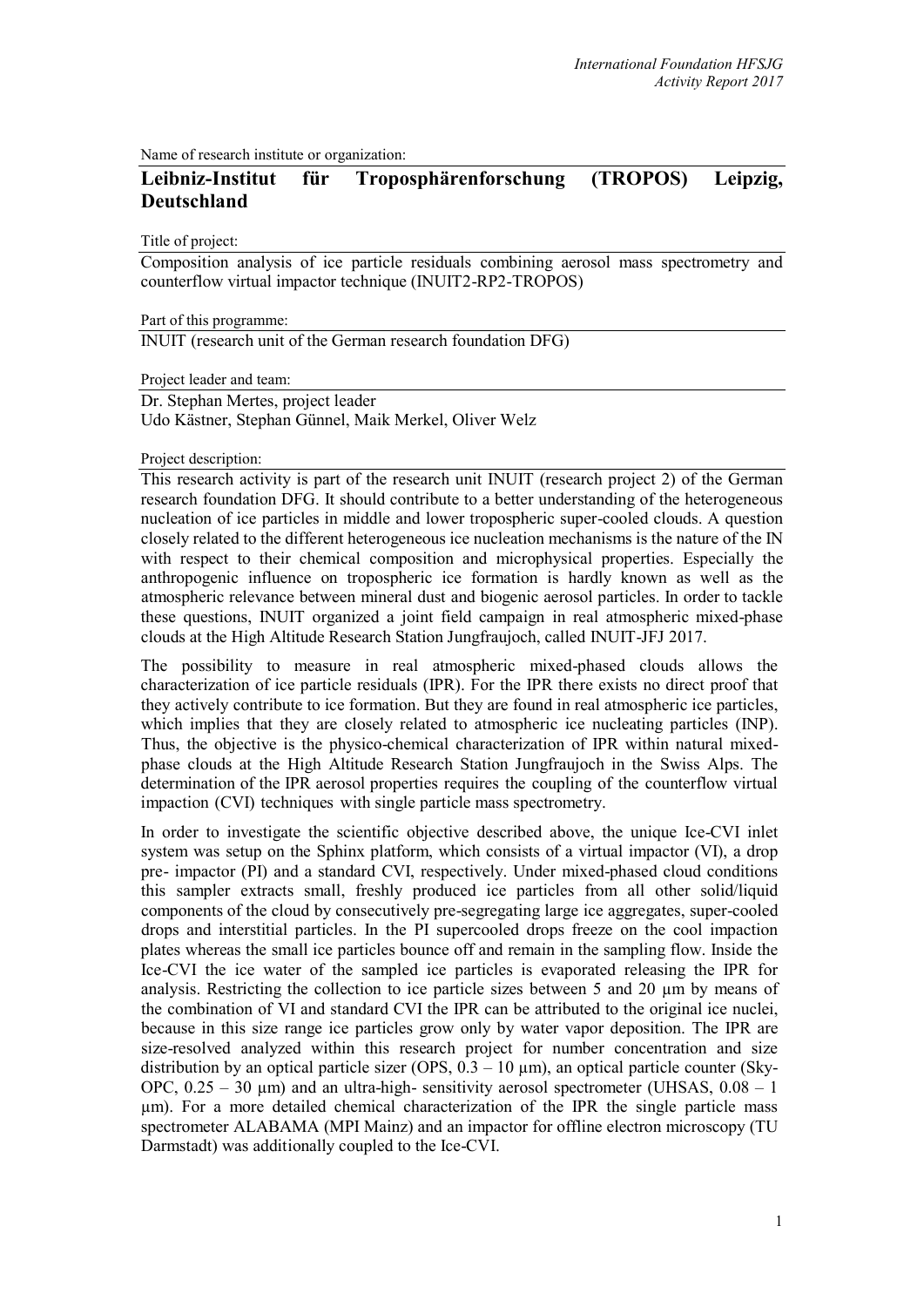Name of research institute or organization:

# **Leibniz-Institut für Troposphärenforschung (TROPOS) Leipzig, Deutschland**

Title of project:

Composition analysis of ice particle residuals combining aerosol mass spectrometry and counterflow virtual impactor technique (INUIT2-RP2-TROPOS)

Part of this programme:

INUIT (research unit of the German research foundation DFG)

Project leader and team:

Dr. Stephan Mertes, project leader Udo Kästner, Stephan Günnel, Maik Merkel, Oliver Welz

Project description:

This research activity is part of the research unit INUIT (research project 2) of the German research foundation DFG. It should contribute to a better understanding of the heterogeneous nucleation of ice particles in middle and lower tropospheric super-cooled clouds. A question closely related to the different heterogeneous ice nucleation mechanisms is the nature of the IN with respect to their chemical composition and microphysical properties. Especially the anthropogenic influence on tropospheric ice formation is hardly known as well as the atmospheric relevance between mineral dust and biogenic aerosol particles. In order to tackle these questions, INUIT organized a joint field campaign in real atmospheric mixed-phase clouds at the High Altitude Research Station Jungfraujoch, called INUIT-JFJ 2017.

The possibility to measure in real atmospheric mixed-phased clouds allows the characterization of ice particle residuals (IPR). For the IPR there exists no direct proof that they actively contribute to ice formation. But they are found in real atmospheric ice particles, which implies that they are closely related to atmospheric ice nucleating particles (INP). Thus, the objective is the physico-chemical characterization of IPR within natural mixedphase clouds at the High Altitude Research Station Jungfraujoch in the Swiss Alps. The determination of the IPR aerosol properties requires the coupling of the counterflow virtual impaction (CVI) techniques with single particle mass spectrometry.

In order to investigate the scientific objective described above, the unique Ice-CVI inlet system was setup on the Sphinx platform, which consists of a virtual impactor (VI), a drop pre- impactor (PI) and a standard CVI, respectively. Under mixed-phased cloud conditions this sampler extracts small, freshly produced ice particles from all other solid/liquid components of the cloud by consecutively pre-segregating large ice aggregates, super-cooled drops and interstitial particles. In the PI supercooled drops freeze on the cool impaction plates whereas the small ice particles bounce off and remain in the sampling flow. Inside the Ice-CVI the ice water of the sampled ice particles is evaporated releasing the IPR for analysis. Restricting the collection to ice particle sizes between 5 and 20 µm by means of the combination of VI and standard CVI the IPR can be attributed to the original ice nuclei, because in this size range ice particles grow only by water vapor deposition. The IPR are size-resolved analyzed within this research project for number concentration and size distribution by an optical particle sizer (OPS,  $0.3 - 10 \mu m$ ), an optical particle counter (Sky-OPC,  $0.25 - 30 \mu m$ ) and an ultra-high- sensitivity aerosol spectrometer (UHSAS,  $0.08 - 1$ ) µm). For a more detailed chemical characterization of the IPR the single particle mass spectrometer ALABAMA (MPI Mainz) and an impactor for offline electron microscopy (TU Darmstadt) was additionally coupled to the Ice-CVI.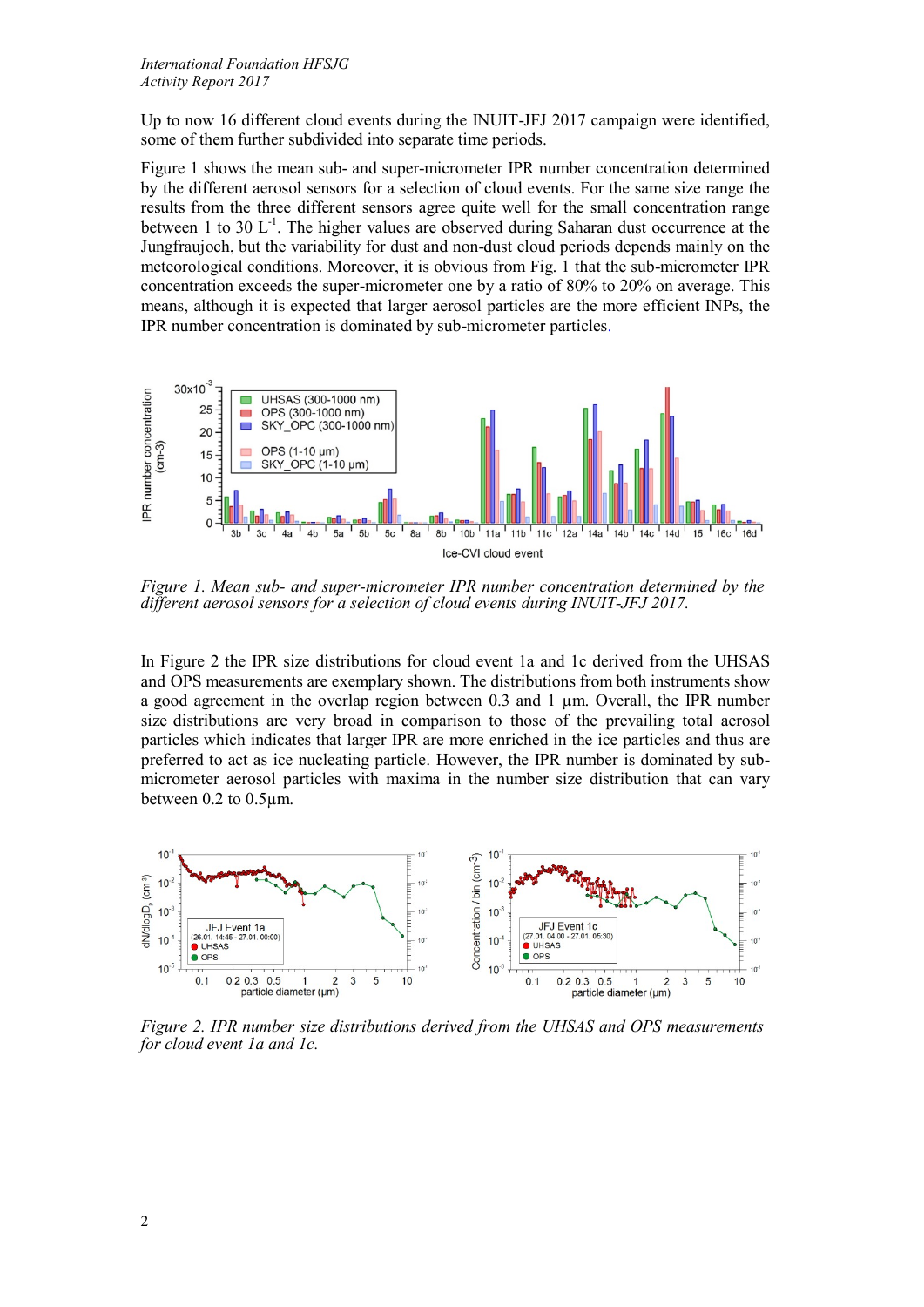Up to now 16 different cloud events during the INUIT-JFJ 2017 campaign were identified, some of them further subdivided into separate time periods.

Figure 1 shows the mean sub- and super-micrometer IPR number concentration determined by the different aerosol sensors for a selection of cloud events. For the same size range the results from the three different sensors agree quite well for the small concentration range between 1 to 30  $L^{-1}$ . The higher values are observed during Saharan dust occurrence at the Jungfraujoch, but the variability for dust and non-dust cloud periods depends mainly on the meteorological conditions. Moreover, it is obvious from Fig. 1 that the sub-micrometer IPR concentration exceeds the super-micrometer one by a ratio of 80% to 20% on average. This means, although it is expected that larger aerosol particles are the more efficient INPs, the IPR number concentration is dominated by sub-micrometer particles.



*Figure 1. Mean sub- and super-micrometer IPR number concentration determined by the different aerosol sensors for a selection of cloud events during INUIT-JFJ 2017.*

In Figure 2 the IPR size distributions for cloud event 1a and 1c derived from the UHSAS and OPS measurements are exemplary shown. The distributions from both instruments show a good agreement in the overlap region between 0.3 and 1 µm. Overall, the IPR number size distributions are very broad in comparison to those of the prevailing total aerosol particles which indicates that larger IPR are more enriched in the ice particles and thus are preferred to act as ice nucleating particle. However, the IPR number is dominated by submicrometer aerosol particles with maxima in the number size distribution that can vary between 0.2 to 0.5µm.



*Figure 2. IPR number size distributions derived from the UHSAS and OPS measurements for cloud event 1a and 1c.*